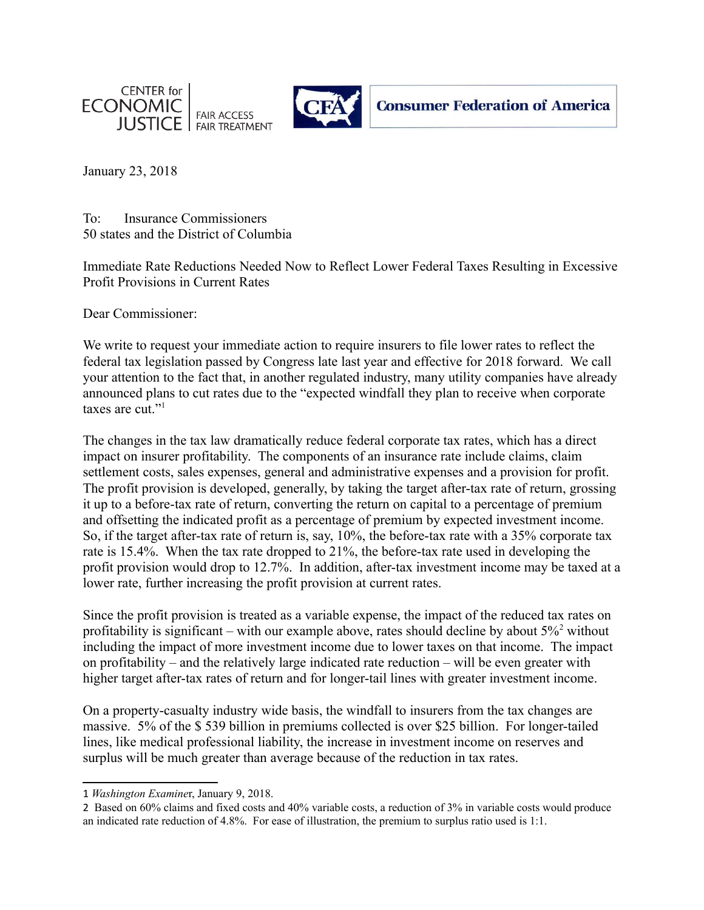



January 23, 2018

To: Insurance Commissioners 50 states and the District of Columbia

Immediate Rate Reductions Needed Now to Reflect Lower Federal Taxes Resulting in Excessive Profit Provisions in Current Rates

Dear Commissioner:

We write to request your immediate action to require insurers to file lower rates to reflect the federal tax legislation passed by Congress late last year and effective for 2018 forward. We call your attention to the fact that, in another regulated industry, many utility companies have already announced plans to cut rates due to the "expected windfall they plan to receive when corporate taxes are cut."<sup>[1](#page-0-0)</sup>

The changes in the tax law dramatically reduce federal corporate tax rates, which has a direct impact on insurer profitability. The components of an insurance rate include claims, claim settlement costs, sales expenses, general and administrative expenses and a provision for profit. The profit provision is developed, generally, by taking the target after-tax rate of return, grossing it up to a before-tax rate of return, converting the return on capital to a percentage of premium and offsetting the indicated profit as a percentage of premium by expected investment income. So, if the target after-tax rate of return is, say, 10%, the before-tax rate with a 35% corporate tax rate is 15.4%. When the tax rate dropped to 21%, the before-tax rate used in developing the profit provision would drop to 12.7%. In addition, after-tax investment income may be taxed at a lower rate, further increasing the profit provision at current rates.

Since the profit provision is treated as a variable expense, the impact of the reduced tax rates on profitability is significant – with our example above, rates should decline by about  $5\%^2$  $5\%^2$  without including the impact of more investment income due to lower taxes on that income. The impact on profitability – and the relatively large indicated rate reduction – will be even greater with higher target after-tax rates of return and for longer-tail lines with greater investment income.

On a property-casualty industry wide basis, the windfall to insurers from the tax changes are massive. 5% of the \$ 539 billion in premiums collected is over \$25 billion. For longer-tailed lines, like medical professional liability, the increase in investment income on reserves and surplus will be much greater than average because of the reduction in tax rates.

<span id="page-0-0"></span><sup>1</sup> *Washington Examine*r, January 9, 2018.

<span id="page-0-1"></span><sup>2</sup> Based on 60% claims and fixed costs and 40% variable costs, a reduction of 3% in variable costs would produce an indicated rate reduction of 4.8%. For ease of illustration, the premium to surplus ratio used is 1:1.